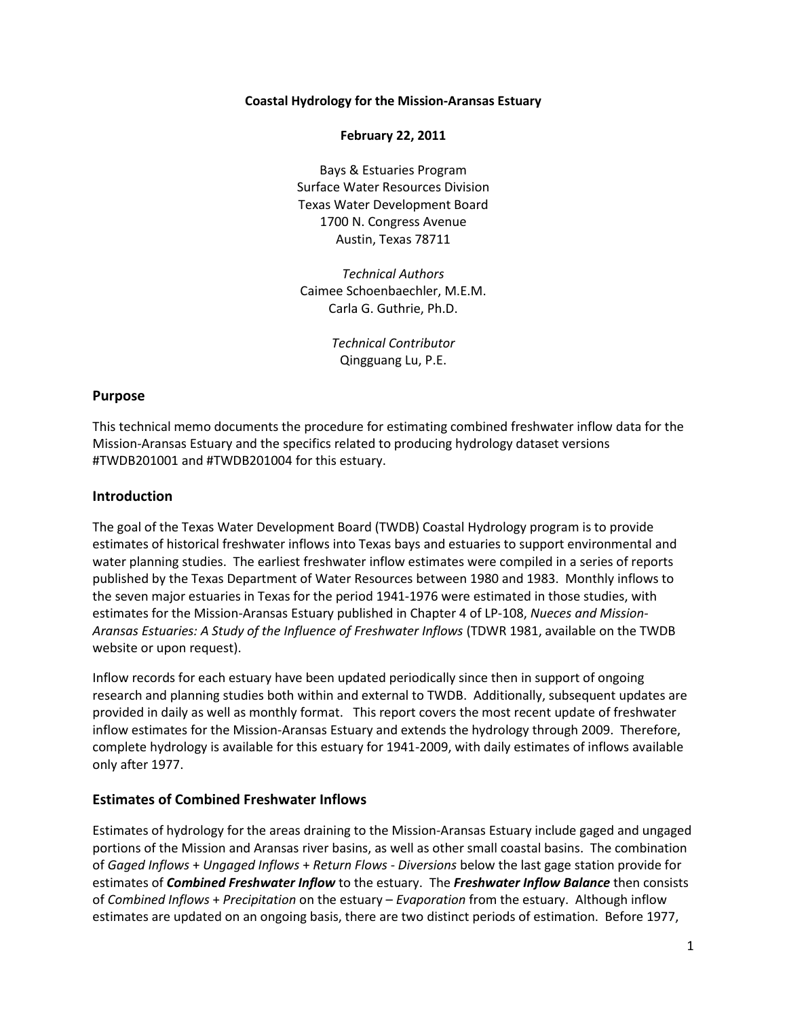### **Coastal Hydrology for the Mission-Aransas Estuary**

### **February 22, 2011**

Bays & Estuaries Program Surface Water Resources Division Texas Water Development Board 1700 N. Congress Avenue Austin, Texas 78711

*Technical Authors* Caimee Schoenbaechler, M.E.M. Carla G. Guthrie, Ph.D.

> *Technical Contributor* Qingguang Lu, P.E.

### **Purpose**

This technical memo documents the procedure for estimating combined freshwater inflow data for the Mission-Aransas Estuary and the specifics related to producing hydrology dataset versions #TWDB201001 and #TWDB201004 for this estuary.

### **Introduction**

The goal of the Texas Water Development Board (TWDB) Coastal Hydrology program is to provide estimates of historical freshwater inflows into Texas bays and estuaries to support environmental and water planning studies. The earliest freshwater inflow estimates were compiled in a series of reports published by the Texas Department of Water Resources between 1980 and 1983. Monthly inflows to the seven major estuaries in Texas for the period 1941-1976 were estimated in those studies, with estimates for the Mission-Aransas Estuary published in Chapter 4 of LP-108, *Nueces and Mission-Aransas Estuaries: A Study of the Influence of Freshwater Inflows* (TDWR 1981, available on the TWDB website or upon request).

Inflow records for each estuary have been updated periodically since then in support of ongoing research and planning studies both within and external to TWDB. Additionally, subsequent updates are provided in daily as well as monthly format. This report covers the most recent update of freshwater inflow estimates for the Mission-Aransas Estuary and extends the hydrology through 2009. Therefore, complete hydrology is available for this estuary for 1941-2009, with daily estimates of inflows available only after 1977.

### **Estimates of Combined Freshwater Inflows**

Estimates of hydrology for the areas draining to the Mission-Aransas Estuary include gaged and ungaged portions of the Mission and Aransas river basins, as well as other small coastal basins. The combination of *Gaged Inflows* + *Ungaged Inflows* + *Return Flows* - *Diversions* below the last gage station provide for estimates of *Combined Freshwater Inflow* to the estuary. The *Freshwater Inflow Balance* then consists of *Combined Inflows* + *Precipitation* on the estuary – *Evaporation* from the estuary. Although inflow estimates are updated on an ongoing basis, there are two distinct periods of estimation. Before 1977,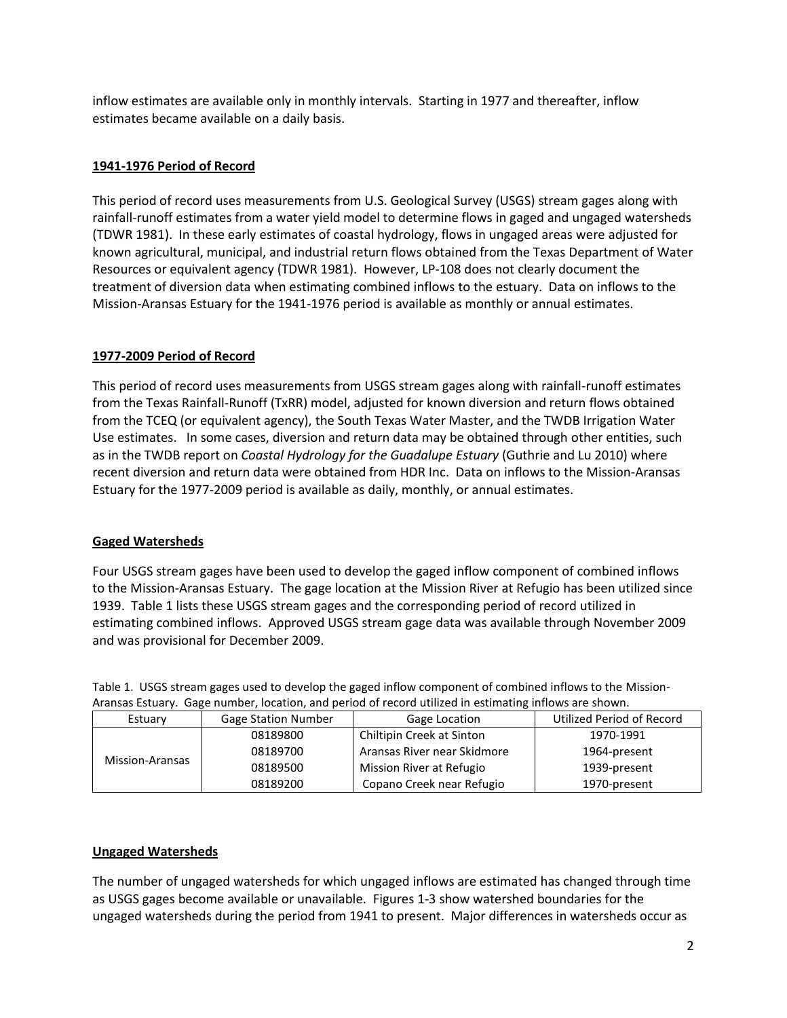inflow estimates are available only in monthly intervals. Starting in 1977 and thereafter, inflow estimates became available on a daily basis.

## **1941-1976 Period of Record**

This period of record uses measurements from U.S. Geological Survey (USGS) stream gages along with rainfall-runoff estimates from a water yield model to determine flows in gaged and ungaged watersheds (TDWR 1981). In these early estimates of coastal hydrology, flows in ungaged areas were adjusted for known agricultural, municipal, and industrial return flows obtained from the Texas Department of Water Resources or equivalent agency (TDWR 1981). However, LP-108 does not clearly document the treatment of diversion data when estimating combined inflows to the estuary. Data on inflows to the Mission-Aransas Estuary for the 1941-1976 period is available as monthly or annual estimates.

## **1977-2009 Period of Record**

This period of record uses measurements from USGS stream gages along with rainfall-runoff estimates from the Texas Rainfall-Runoff (TxRR) model, adjusted for known diversion and return flows obtained from the TCEQ (or equivalent agency), the South Texas Water Master, and the TWDB Irrigation Water Use estimates. In some cases, diversion and return data may be obtained through other entities, such as in the TWDB report on *Coastal Hydrology for the Guadalupe Estuary* (Guthrie and Lu 2010) where recent diversion and return data were obtained from HDR Inc. Data on inflows to the Mission-Aransas Estuary for the 1977-2009 period is available as daily, monthly, or annual estimates.

### **Gaged Watersheds**

Four USGS stream gages have been used to develop the gaged inflow component of combined inflows to the Mission-Aransas Estuary. The gage location at the Mission River at Refugio has been utilized since 1939. Table 1 lists these USGS stream gages and the corresponding period of record utilized in estimating combined inflows. Approved USGS stream gage data was available through November 2009 and was provisional for December 2009.

Table 1. USGS stream gages used to develop the gaged inflow component of combined inflows to the Mission-Aransas Estuary. Gage number, location, and period of record utilized in estimating inflows are shown.

| <b>Gage Station Number</b><br>Estuary |          | Gage Location               | Utilized Period of Record |  |
|---------------------------------------|----------|-----------------------------|---------------------------|--|
| Mission-Aransas                       | 08189800 | Chiltipin Creek at Sinton   | 1970-1991                 |  |
|                                       | 08189700 | Aransas River near Skidmore | 1964-present              |  |
|                                       | 08189500 | Mission River at Refugio    | 1939-present              |  |
|                                       | 08189200 | Copano Creek near Refugio   | 1970-present              |  |

### **Ungaged Watersheds**

The number of ungaged watersheds for which ungaged inflows are estimated has changed through time as USGS gages become available or unavailable. Figures 1-3 show watershed boundaries for the ungaged watersheds during the period from 1941 to present. Major differences in watersheds occur as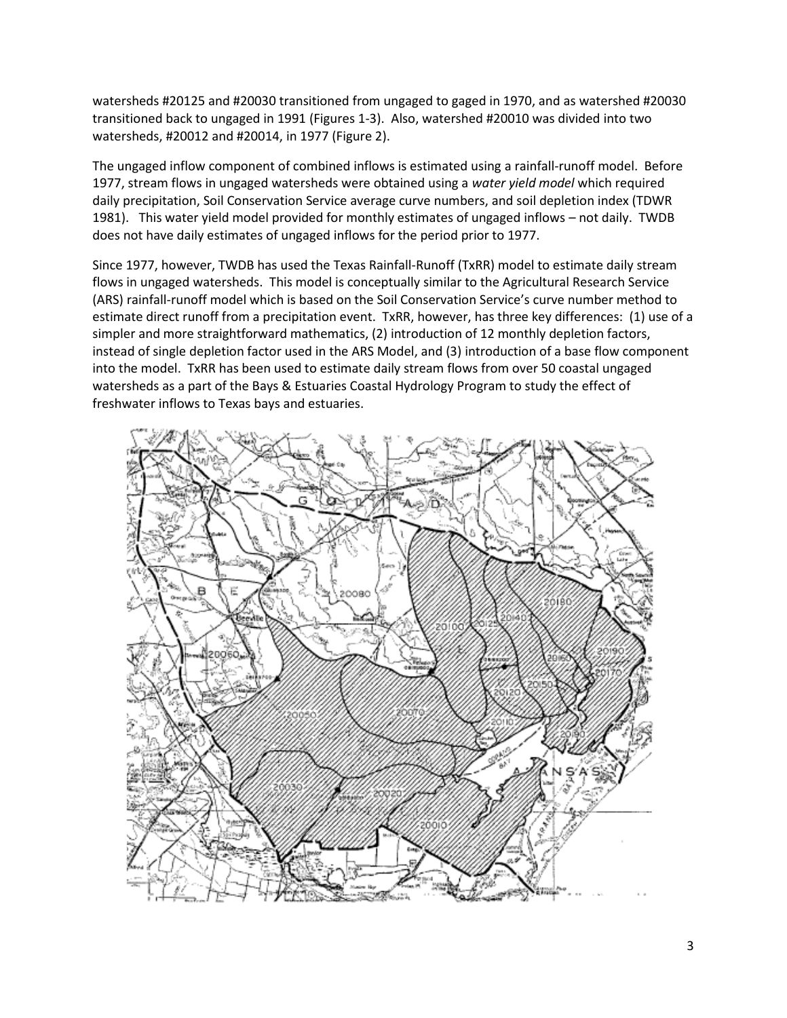watersheds #20125 and #20030 transitioned from ungaged to gaged in 1970, and as watershed #20030 transitioned back to ungaged in 1991 (Figures 1-3). Also, watershed #20010 was divided into two watersheds, #20012 and #20014, in 1977 (Figure 2).

The ungaged inflow component of combined inflows is estimated using a rainfall-runoff model. Before 1977, stream flows in ungaged watersheds were obtained using a *water yield model* which required daily precipitation, Soil Conservation Service average curve numbers, and soil depletion index (TDWR 1981). This water yield model provided for monthly estimates of ungaged inflows – not daily. TWDB does not have daily estimates of ungaged inflows for the period prior to 1977.

Since 1977, however, TWDB has used the Texas Rainfall-Runoff (TxRR) model to estimate daily stream flows in ungaged watersheds. This model is conceptually similar to the Agricultural Research Service (ARS) rainfall-runoff model which is based on the Soil Conservation Service's curve number method to estimate direct runoff from a precipitation event. TxRR, however, has three key differences: (1) use of a simpler and more straightforward mathematics, (2) introduction of 12 monthly depletion factors, instead of single depletion factor used in the ARS Model, and (3) introduction of a base flow component into the model. TxRR has been used to estimate daily stream flows from over 50 coastal ungaged watersheds as a part of the Bays & Estuaries Coastal Hydrology Program to study the effect of freshwater inflows to Texas bays and estuaries.

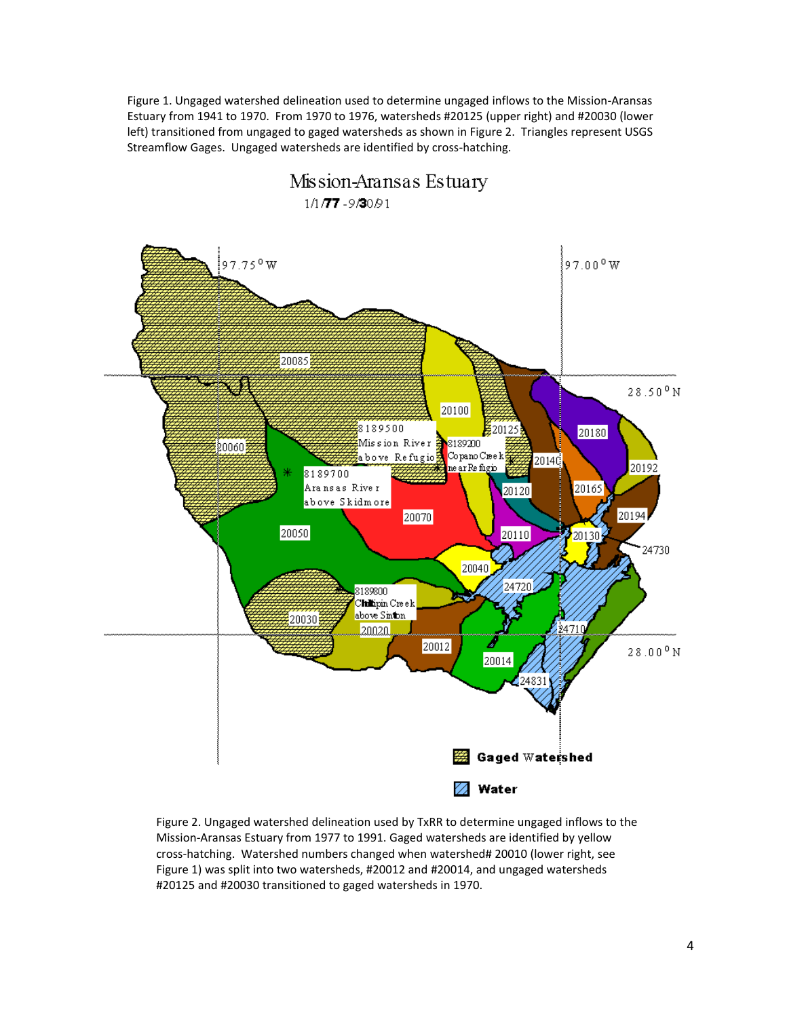Figure 1. Ungaged watershed delineation used to determine ungaged inflows to the Mission-Aransas Estuary from 1941 to 1970. From 1970 to 1976, watersheds #20125 (upper right) and #20030 (lower left) transitioned from ungaged to gaged watersheds as shown in Figure 2. Triangles represent USGS Streamflow Gages. Ungaged watersheds are identified by cross-hatching.



Figure 2. Ungaged watershed delineation used by TxRR to determine ungaged inflows to the Mission-Aransas Estuary from 1977 to 1991. Gaged watersheds are identified by yellow cross-hatching. Watershed numbers changed when watershed# 20010 (lower right, see Figure 1) was split into two watersheds, #20012 and #20014, and ungaged watersheds #20125 and #20030 transitioned to gaged watersheds in 1970.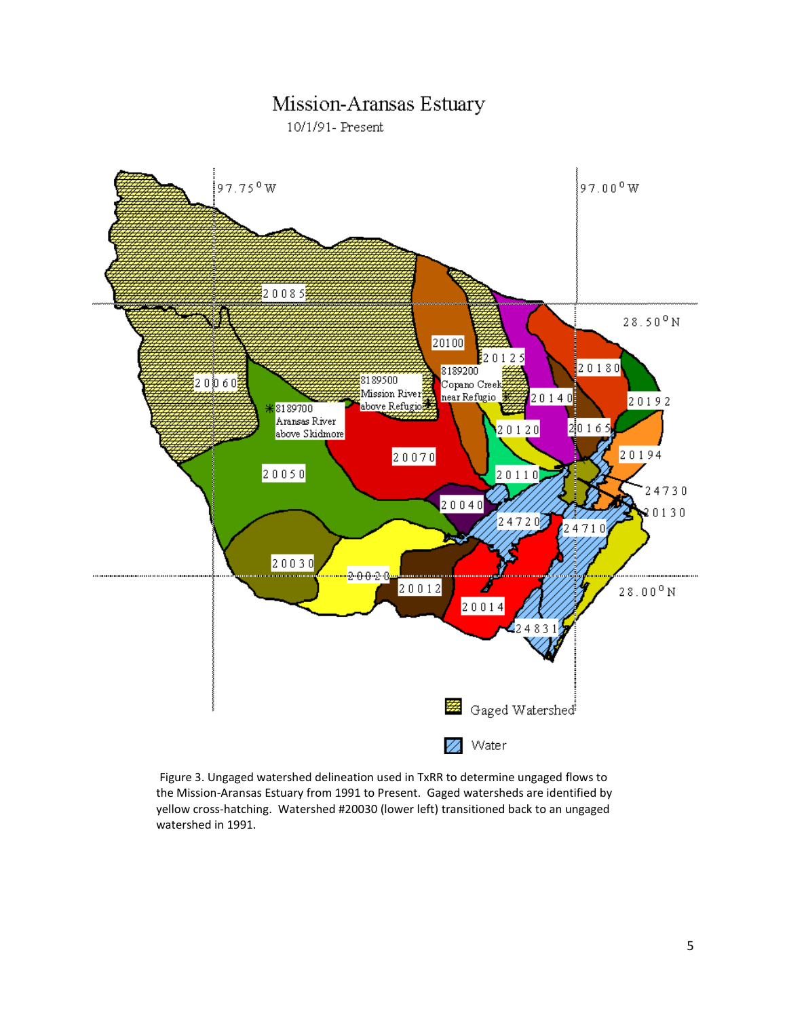# Mission-Aransas Estuary

10/1/91- Present



 Figure 3. Ungaged watershed delineation used in TxRR to determine ungaged flows to the Mission-Aransas Estuary from 1991 to Present. Gaged watersheds are identified by yellow cross-hatching. Watershed #20030 (lower left) transitioned back to an ungaged watershed in 1991.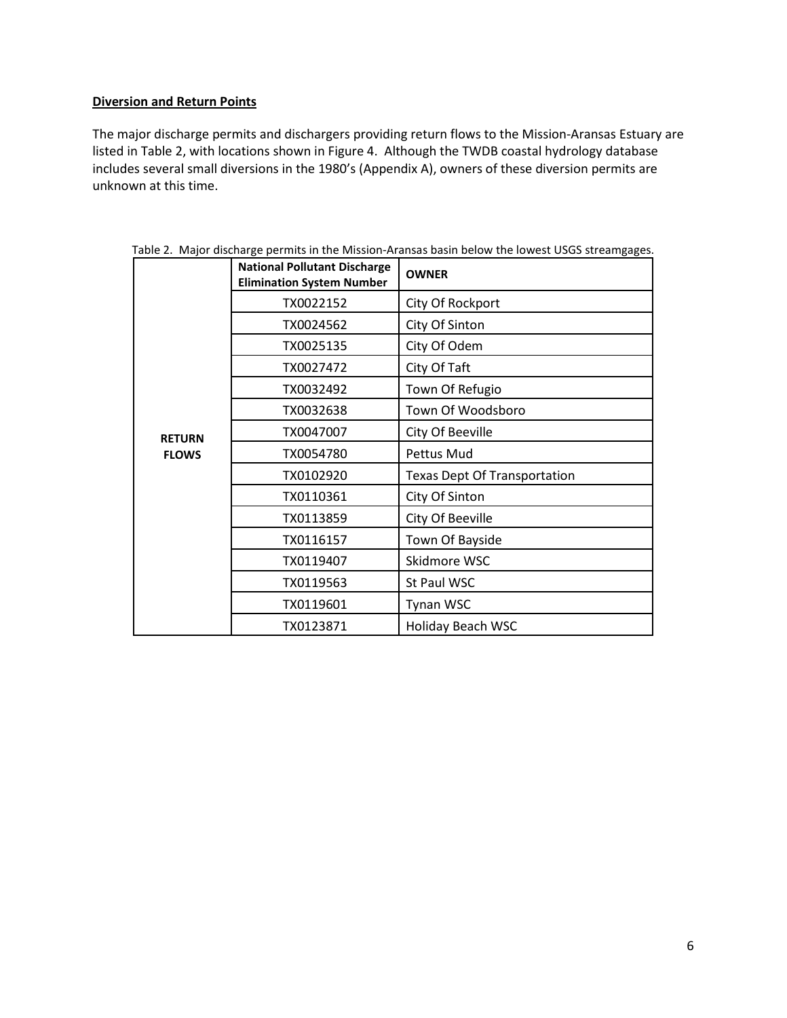## **Diversion and Return Points**

The major discharge permits and dischargers providing return flows to the Mission-Aransas Estuary are listed in Table 2, with locations shown in Figure 4. Although the TWDB coastal hydrology database includes several small diversions in the 1980's (Appendix A), owners of these diversion permits are unknown at this time.

|               | <b>National Pollutant Discharge</b><br><b>Elimination System Number</b> | <b>OWNER</b>                        |
|---------------|-------------------------------------------------------------------------|-------------------------------------|
|               | TX0022152                                                               | City Of Rockport                    |
|               | TX0024562                                                               | City Of Sinton                      |
|               | TX0025135                                                               | City Of Odem                        |
|               | TX0027472                                                               | City Of Taft                        |
|               | TX0032492                                                               | Town Of Refugio                     |
|               | TX0032638                                                               | Town Of Woodsboro                   |
| <b>RETURN</b> | TX0047007                                                               | City Of Beeville                    |
| <b>FLOWS</b>  | TX0054780                                                               | Pettus Mud                          |
|               | TX0102920                                                               | <b>Texas Dept Of Transportation</b> |
|               | TX0110361                                                               | City Of Sinton                      |
|               | TX0113859                                                               | City Of Beeville                    |
|               | TX0116157                                                               | Town Of Bayside                     |
|               | TX0119407                                                               | Skidmore WSC                        |
|               | TX0119563                                                               | St Paul WSC                         |
|               | TX0119601                                                               | Tynan WSC                           |
|               | TX0123871                                                               | Holiday Beach WSC                   |

Table 2. Major discharge permits in the Mission-Aransas basin below the lowest USGS streamgages.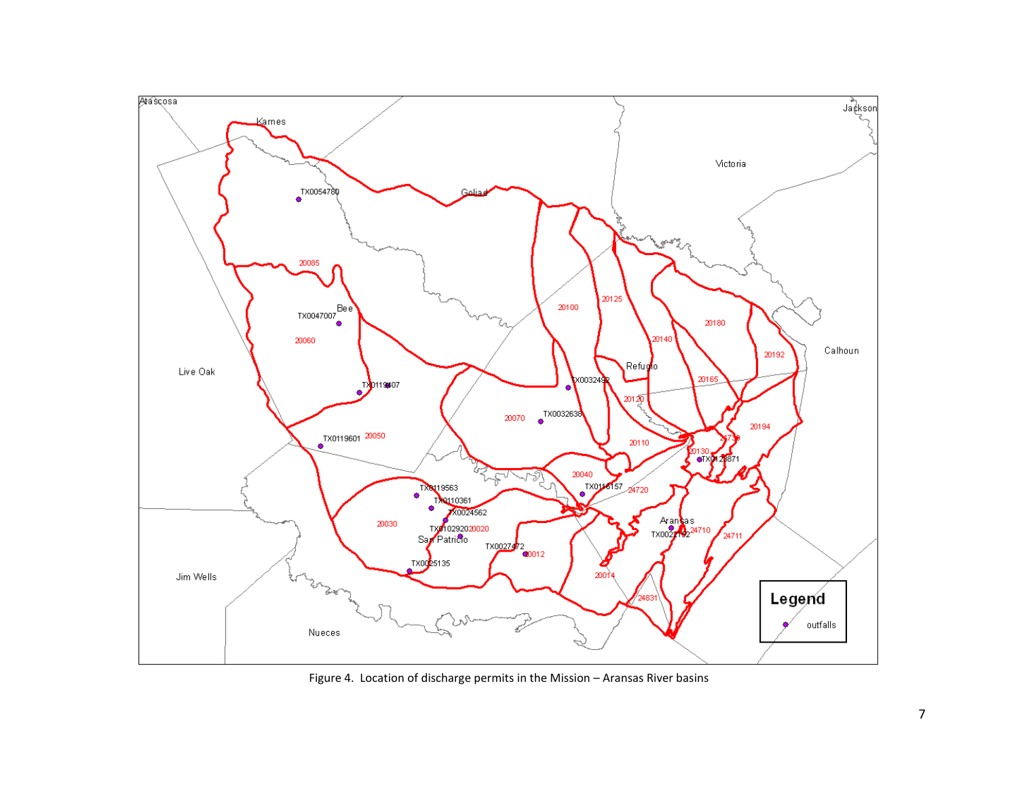

Figure 4. Location of discharge permits in the Mission – Aransas River basins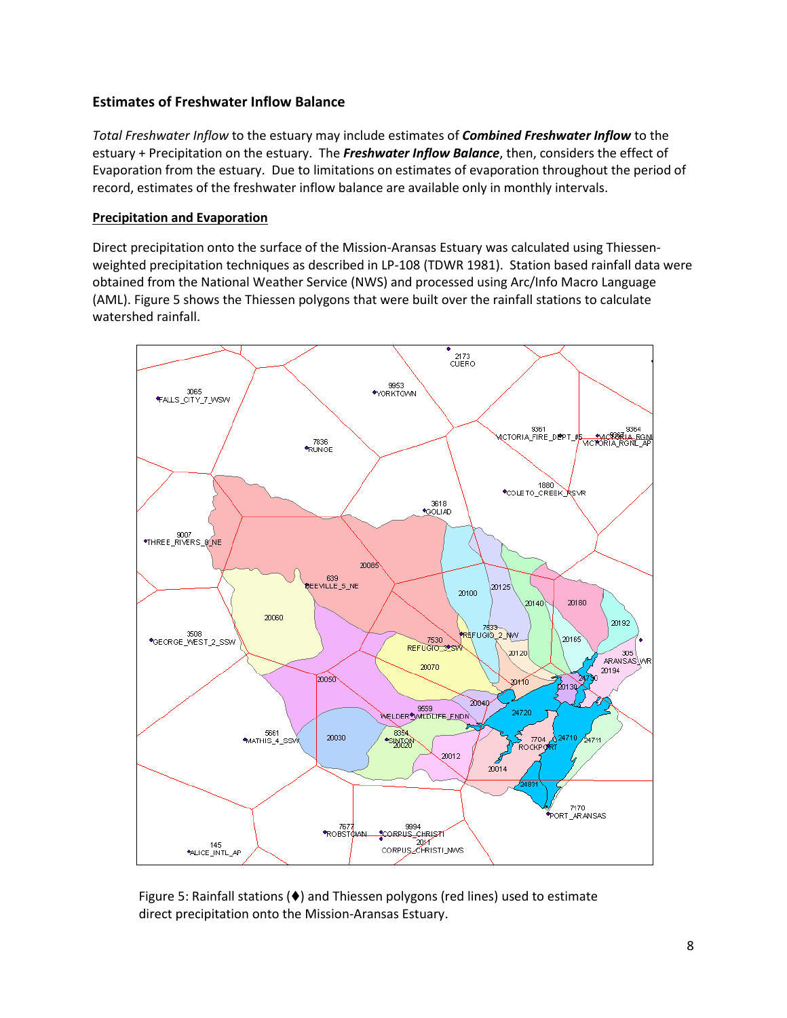# **Estimates of Freshwater Inflow Balance**

*Total Freshwater Inflow* to the estuary may include estimates of *Combined Freshwater Inflow* to the estuary + Precipitation on the estuary. The *Freshwater Inflow Balance*, then, considers the effect of Evaporation from the estuary. Due to limitations on estimates of evaporation throughout the period of record, estimates of the freshwater inflow balance are available only in monthly intervals.

## **Precipitation and Evaporation**

Direct precipitation onto the surface of the Mission-Aransas Estuary was calculated using Thiessenweighted precipitation techniques as described in LP-108 (TDWR 1981). Station based rainfall data were obtained from the National Weather Service (NWS) and processed using Arc/Info Macro Language (AML). Figure 5 shows the Thiessen polygons that were built over the rainfall stations to calculate watershed rainfall.



Figure 5: Rainfall stations ( $\blacklozenge$ ) and Thiessen polygons (red lines) used to estimate direct precipitation onto the Mission-Aransas Estuary.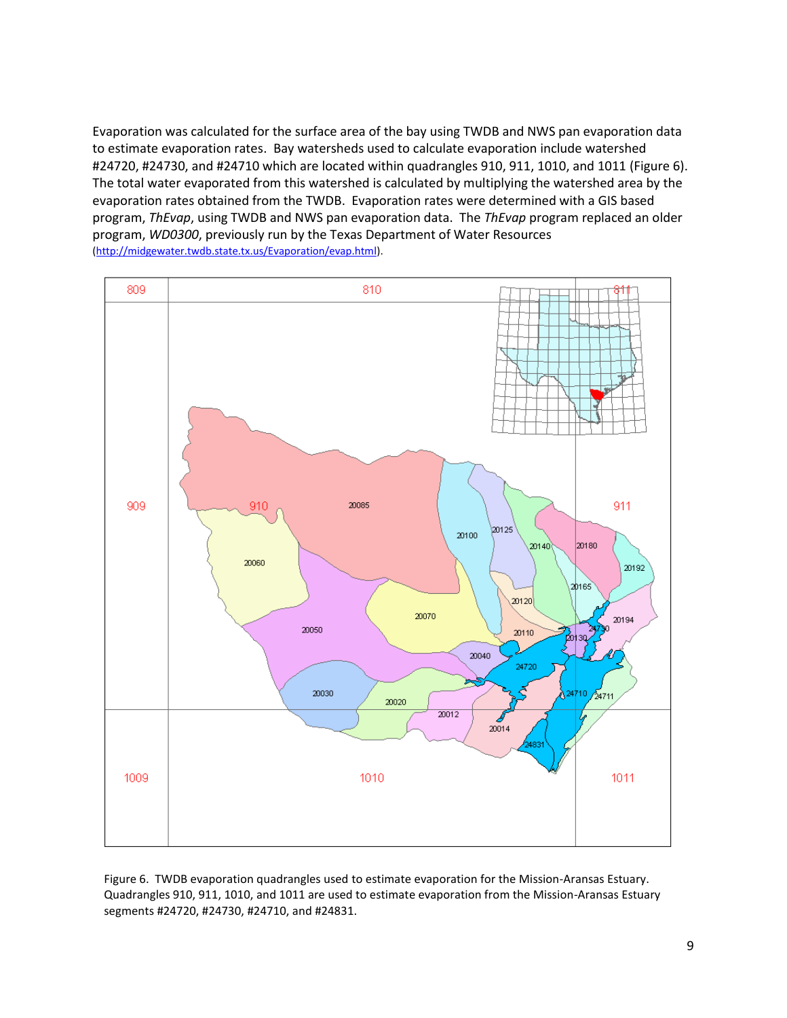Evaporation was calculated for the surface area of the bay using TWDB and NWS pan evaporation data to estimate evaporation rates. Bay watersheds used to calculate evaporation include watershed #24720, #24730, and #24710 which are located within quadrangles 910, 911, 1010, and 1011 (Figure 6). The total water evaporated from this watershed is calculated by multiplying the watershed area by the evaporation rates obtained from the TWDB. Evaporation rates were determined with a GIS based program, *ThEvap*, using TWDB and NWS pan evaporation data. The *ThEvap* program replaced an older program, *WD0300*, previously run by the Texas Department of Water Resources [\(http://midgewater.twdb.state.tx.us/Evaporation/evap.html\)](http://midgewater.twdb.state.tx.us/Evaporation/evap.html).



Figure 6. TWDB evaporation quadrangles used to estimate evaporation for the Mission-Aransas Estuary. Quadrangles 910, 911, 1010, and 1011 are used to estimate evaporation from the Mission-Aransas Estuary segments #24720, #24730, #24710, and #24831.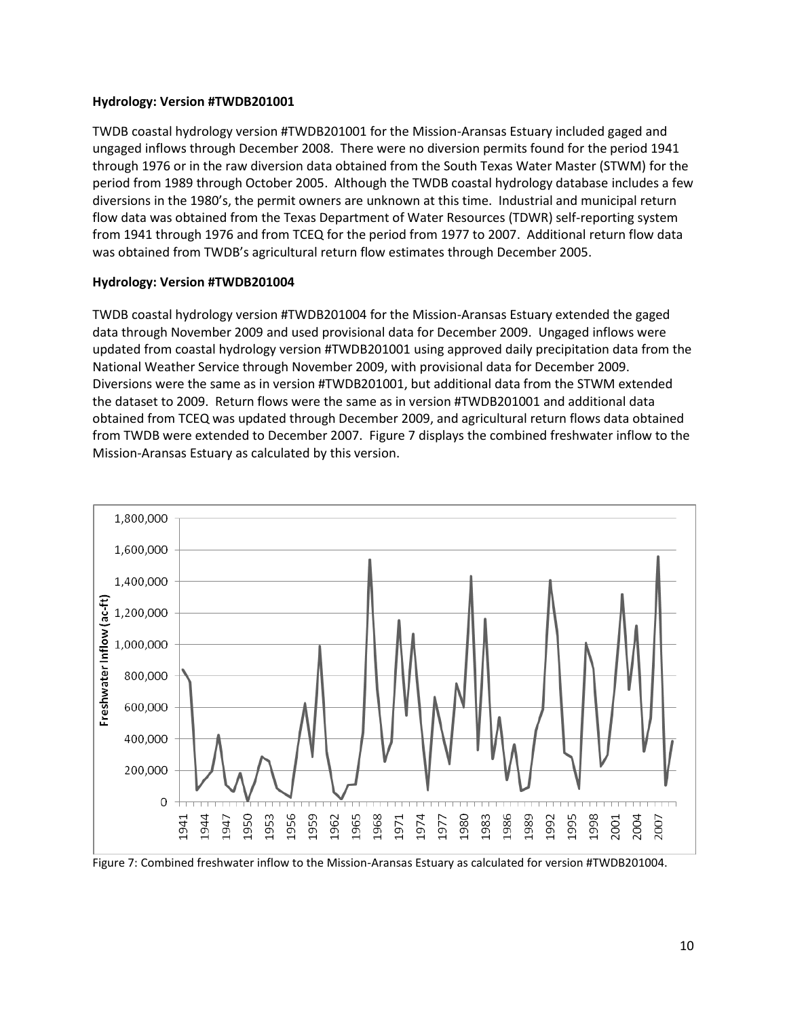### **Hydrology: Version #TWDB201001**

TWDB coastal hydrology version #TWDB201001 for the Mission-Aransas Estuary included gaged and ungaged inflows through December 2008. There were no diversion permits found for the period 1941 through 1976 or in the raw diversion data obtained from the South Texas Water Master (STWM) for the period from 1989 through October 2005. Although the TWDB coastal hydrology database includes a few diversions in the 1980's, the permit owners are unknown at this time. Industrial and municipal return flow data was obtained from the Texas Department of Water Resources (TDWR) self-reporting system from 1941 through 1976 and from TCEQ for the period from 1977 to 2007. Additional return flow data was obtained from TWDB's agricultural return flow estimates through December 2005.

### **Hydrology: Version #TWDB201004**

TWDB coastal hydrology version #TWDB201004 for the Mission-Aransas Estuary extended the gaged data through November 2009 and used provisional data for December 2009. Ungaged inflows were updated from coastal hydrology version #TWDB201001 using approved daily precipitation data from the National Weather Service through November 2009, with provisional data for December 2009. Diversions were the same as in version #TWDB201001, but additional data from the STWM extended the dataset to 2009. Return flows were the same as in version #TWDB201001 and additional data obtained from TCEQ was updated through December 2009, and agricultural return flows data obtained from TWDB were extended to December 2007. Figure 7 displays the combined freshwater inflow to the Mission-Aransas Estuary as calculated by this version.



Figure 7: Combined freshwater inflow to the Mission-Aransas Estuary as calculated for version #TWDB201004.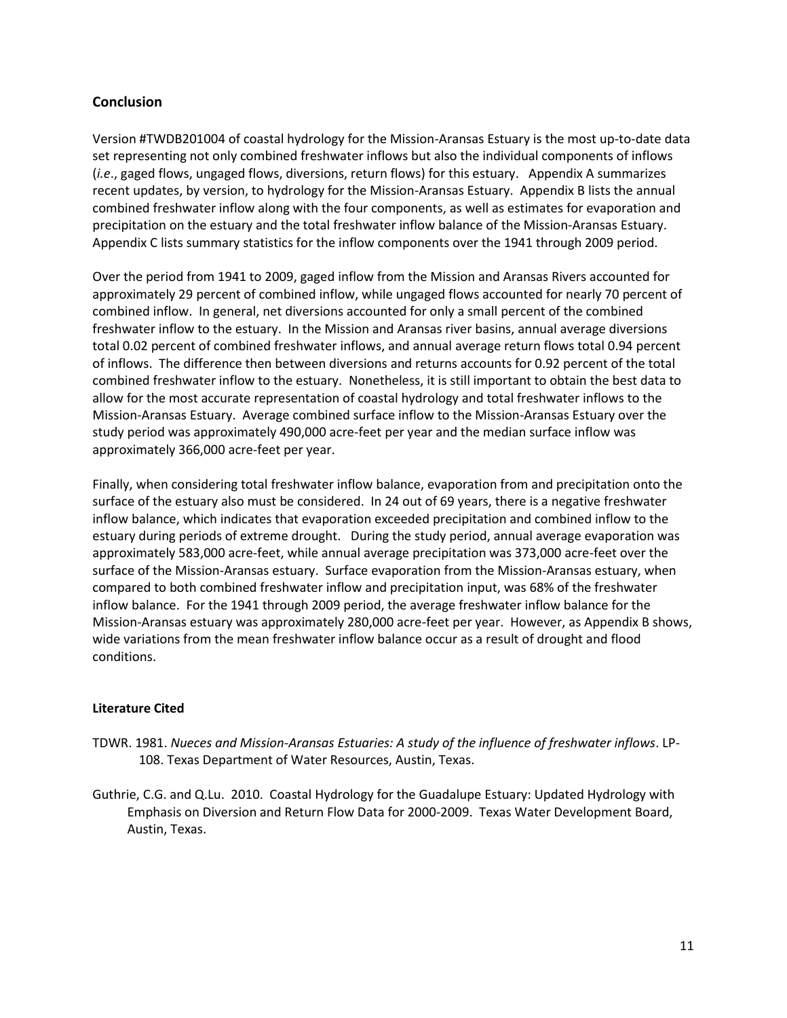# **Conclusion**

Version #TWDB201004 of coastal hydrology for the Mission-Aransas Estuary is the most up-to-date data set representing not only combined freshwater inflows but also the individual components of inflows (*i.e*., gaged flows, ungaged flows, diversions, return flows) for this estuary.Appendix A summarizes recent updates, by version, to hydrology for the Mission-Aransas Estuary. Appendix B lists the annual combined freshwater inflow along with the four components, as well as estimates for evaporation and precipitation on the estuary and the total freshwater inflow balance of the Mission-Aransas Estuary. Appendix C lists summary statistics for the inflow components over the 1941 through 2009 period.

Over the period from 1941 to 2009, gaged inflow from the Mission and Aransas Rivers accounted for approximately 29 percent of combined inflow, while ungaged flows accounted for nearly 70 percent of combined inflow. In general, net diversions accounted for only a small percent of the combined freshwater inflow to the estuary. In the Mission and Aransas river basins, annual average diversions total 0.02 percent of combined freshwater inflows, and annual average return flows total 0.94 percent of inflows. The difference then between diversions and returns accounts for 0.92 percent of the total combined freshwater inflow to the estuary. Nonetheless, it is still important to obtain the best data to allow for the most accurate representation of coastal hydrology and total freshwater inflows to the Mission-Aransas Estuary. Average combined surface inflow to the Mission-Aransas Estuary over the study period was approximately 490,000 acre-feet per year and the median surface inflow was approximately 366,000 acre-feet per year.

Finally, when considering total freshwater inflow balance, evaporation from and precipitation onto the surface of the estuary also must be considered. In 24 out of 69 years, there is a negative freshwater inflow balance, which indicates that evaporation exceeded precipitation and combined inflow to the estuary during periods of extreme drought. During the study period, annual average evaporation was approximately 583,000 acre-feet, while annual average precipitation was 373,000 acre-feet over the surface of the Mission-Aransas estuary. Surface evaporation from the Mission-Aransas estuary, when compared to both combined freshwater inflow and precipitation input, was 68% of the freshwater inflow balance. For the 1941 through 2009 period, the average freshwater inflow balance for the Mission-Aransas estuary was approximately 280,000 acre-feet per year. However, as Appendix B shows, wide variations from the mean freshwater inflow balance occur as a result of drought and flood conditions.

# **Literature Cited**

- TDWR. 1981. *Nueces and Mission-Aransas Estuaries: A study of the influence of freshwater inflows*. LP-108. Texas Department of Water Resources, Austin, Texas.
- Guthrie, C.G. and Q.Lu. 2010. Coastal Hydrology for the Guadalupe Estuary: Updated Hydrology with Emphasis on Diversion and Return Flow Data for 2000-2009. Texas Water Development Board, Austin, Texas.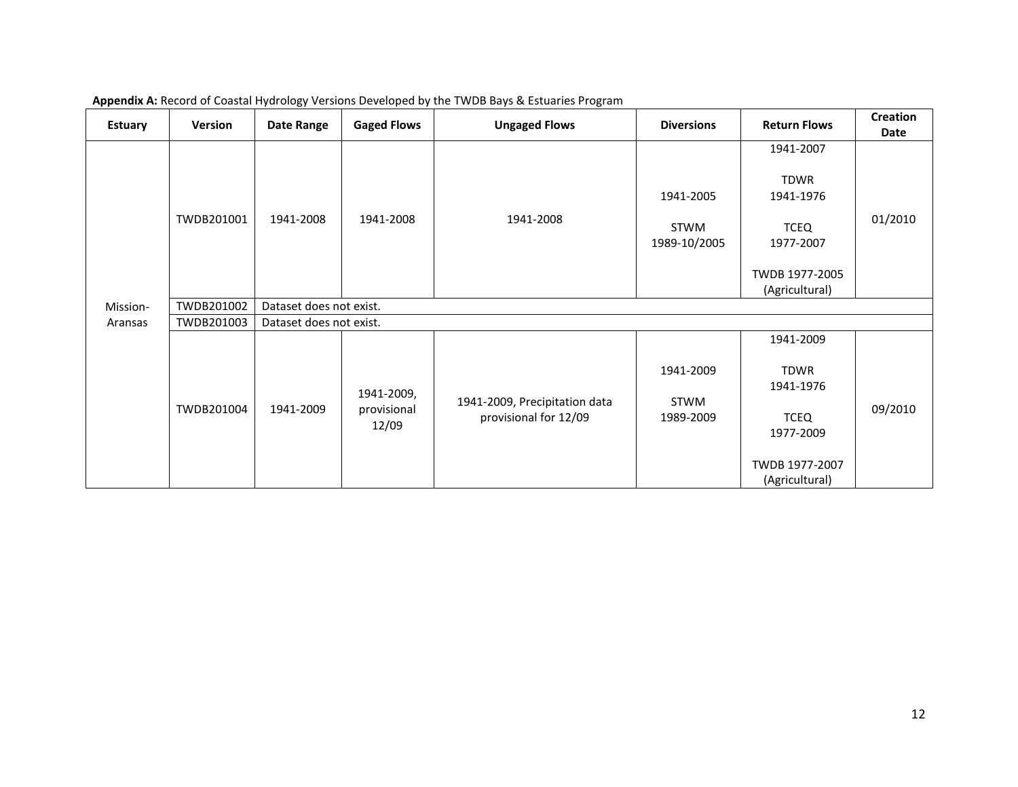| <b>Estuary</b> | <b>Version</b> | Date Range              | <b>Gaged Flows</b>                 | <b>Ungaged Flows</b>                                   | <b>Diversions</b>                 | <b>Return Flows</b>                                                                                   | <b>Creation</b><br>Date |
|----------------|----------------|-------------------------|------------------------------------|--------------------------------------------------------|-----------------------------------|-------------------------------------------------------------------------------------------------------|-------------------------|
|                | TWDB201001     | 1941-2008               | 1941-2008<br>1941-2008             |                                                        | 1941-2005<br>STWM<br>1989-10/2005 | 1941-2007<br><b>TDWR</b><br>1941-1976<br><b>TCEQ</b><br>1977-2007<br>TWDB 1977-2005<br>(Agricultural) | 01/2010                 |
| Mission-       | TWDB201002     | Dataset does not exist. |                                    |                                                        |                                   |                                                                                                       |                         |
| Aransas        | TWDB201003     | Dataset does not exist. |                                    |                                                        |                                   |                                                                                                       |                         |
|                | TWDB201004     | 1941-2009               | 1941-2009,<br>provisional<br>12/09 | 1941-2009, Precipitation data<br>provisional for 12/09 | 1941-2009<br>STWM<br>1989-2009    | 1941-2009<br><b>TDWR</b><br>1941-1976<br><b>TCEQ</b><br>1977-2009<br>TWDB 1977-2007<br>(Agricultural) | 09/2010                 |

**Appendix A:** Record of Coastal Hydrology Versions Developed by the TWDB Bays & Estuaries Program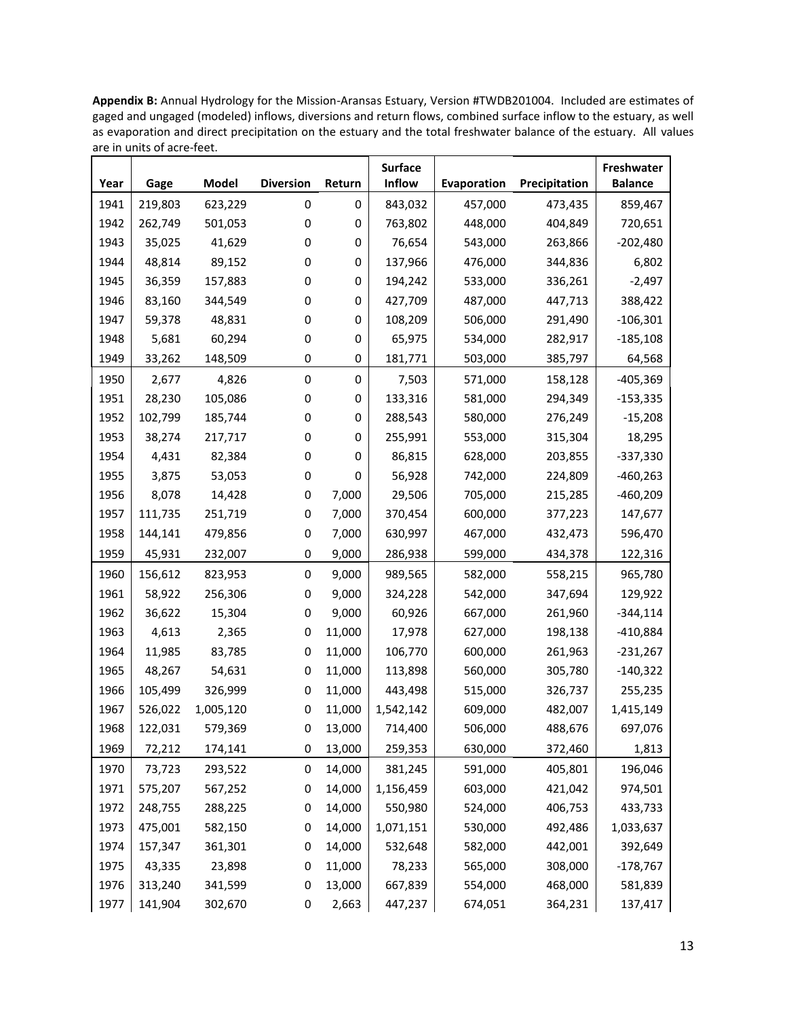**Appendix B:** Annual Hydrology for the Mission-Aransas Estuary, Version #TWDB201004. Included are estimates of gaged and ungaged (modeled) inflows, diversions and return flows, combined surface inflow to the estuary, as well as evaporation and direct precipitation on the estuary and the total freshwater balance of the estuary. All values are in units of acre-feet.

|      |         |           |                  |                  | <b>Surface</b> |             |               | Freshwater     |
|------|---------|-----------|------------------|------------------|----------------|-------------|---------------|----------------|
| Year | Gage    | Model     | <b>Diversion</b> | Return           | Inflow         | Evaporation | Precipitation | <b>Balance</b> |
| 1941 | 219,803 | 623,229   | 0                | 0                | 843,032        | 457,000     | 473,435       | 859,467        |
| 1942 | 262,749 | 501,053   | 0                | 0                | 763,802        | 448,000     | 404,849       | 720,651        |
| 1943 | 35,025  | 41,629    | 0                | 0                | 76,654         | 543,000     | 263,866       | $-202,480$     |
| 1944 | 48,814  | 89,152    | 0                | 0                | 137,966        | 476,000     | 344,836       | 6,802          |
| 1945 | 36,359  | 157,883   | 0                | 0                | 194,242        | 533,000     | 336,261       | $-2,497$       |
| 1946 | 83,160  | 344,549   | 0                | 0                | 427,709        | 487,000     | 447,713       | 388,422        |
| 1947 | 59,378  | 48,831    | 0                | 0                | 108,209        | 506,000     | 291,490       | $-106,301$     |
| 1948 | 5,681   | 60,294    | 0                | 0                | 65,975         | 534,000     | 282,917       | $-185,108$     |
| 1949 | 33,262  | 148,509   | 0                | 0                | 181,771        | 503,000     | 385,797       | 64,568         |
| 1950 | 2,677   | 4,826     | 0                | $\boldsymbol{0}$ | 7,503          | 571,000     | 158,128       | $-405,369$     |
| 1951 | 28,230  | 105,086   | 0                | 0                | 133,316        | 581,000     | 294,349       | $-153,335$     |
| 1952 | 102,799 | 185,744   | 0                | 0                | 288,543        | 580,000     | 276,249       | $-15,208$      |
| 1953 | 38,274  | 217,717   | 0                | 0                | 255,991        | 553,000     | 315,304       | 18,295         |
| 1954 | 4,431   | 82,384    | 0                | 0                | 86,815         | 628,000     | 203,855       | $-337,330$     |
| 1955 | 3,875   | 53,053    | 0                | 0                | 56,928         | 742,000     | 224,809       | $-460,263$     |
| 1956 | 8,078   | 14,428    | 0                | 7,000            | 29,506         | 705,000     | 215,285       | $-460,209$     |
| 1957 | 111,735 | 251,719   | 0                | 7,000            | 370,454        | 600,000     | 377,223       | 147,677        |
| 1958 | 144,141 | 479,856   | 0                | 7,000            | 630,997        | 467,000     | 432,473       | 596,470        |
| 1959 | 45,931  | 232,007   | 0                | 9,000            | 286,938        | 599,000     | 434,378       | 122,316        |
| 1960 | 156,612 | 823,953   | 0                | 9,000            | 989,565        | 582,000     | 558,215       | 965,780        |
| 1961 | 58,922  | 256,306   | 0                | 9,000            | 324,228        | 542,000     | 347,694       | 129,922        |
| 1962 | 36,622  | 15,304    | 0                | 9,000            | 60,926         | 667,000     | 261,960       | $-344,114$     |
| 1963 | 4,613   | 2,365     | 0                | 11,000           | 17,978         | 627,000     | 198,138       | $-410,884$     |
| 1964 | 11,985  | 83,785    | 0                | 11,000           | 106,770        | 600,000     | 261,963       | $-231,267$     |
| 1965 | 48,267  | 54,631    | 0                | 11,000           | 113,898        | 560,000     | 305,780       | $-140,322$     |
| 1966 | 105,499 | 326,999   | 0                | 11,000           | 443,498        | 515,000     | 326,737       | 255,235        |
| 1967 | 526,022 | 1,005,120 | 0                | 11,000           | 1,542,142      | 609,000     | 482,007       | 1,415,149      |
| 1968 | 122,031 | 579,369   | 0                | 13,000           | 714,400        | 506,000     | 488,676       | 697,076        |
| 1969 | 72,212  | 174,141   | 0                | 13,000           | 259,353        | 630,000     | 372,460       | 1,813          |
| 1970 | 73,723  | 293,522   | 0                | 14,000           | 381,245        | 591,000     | 405,801       | 196,046        |
| 1971 | 575,207 | 567,252   | 0                | 14,000           | 1,156,459      | 603,000     | 421,042       | 974,501        |
| 1972 | 248,755 | 288,225   | 0                | 14,000           | 550,980        | 524,000     | 406,753       | 433,733        |
| 1973 | 475,001 | 582,150   | 0                | 14,000           | 1,071,151      | 530,000     | 492,486       | 1,033,637      |
| 1974 | 157,347 | 361,301   | 0                | 14,000           | 532,648        | 582,000     | 442,001       | 392,649        |
| 1975 | 43,335  | 23,898    | 0                | 11,000           | 78,233         | 565,000     | 308,000       | $-178,767$     |
| 1976 | 313,240 | 341,599   | 0                | 13,000           | 667,839        | 554,000     | 468,000       | 581,839        |
| 1977 | 141,904 | 302,670   | 0                | 2,663            | 447,237        | 674,051     | 364,231       | 137,417        |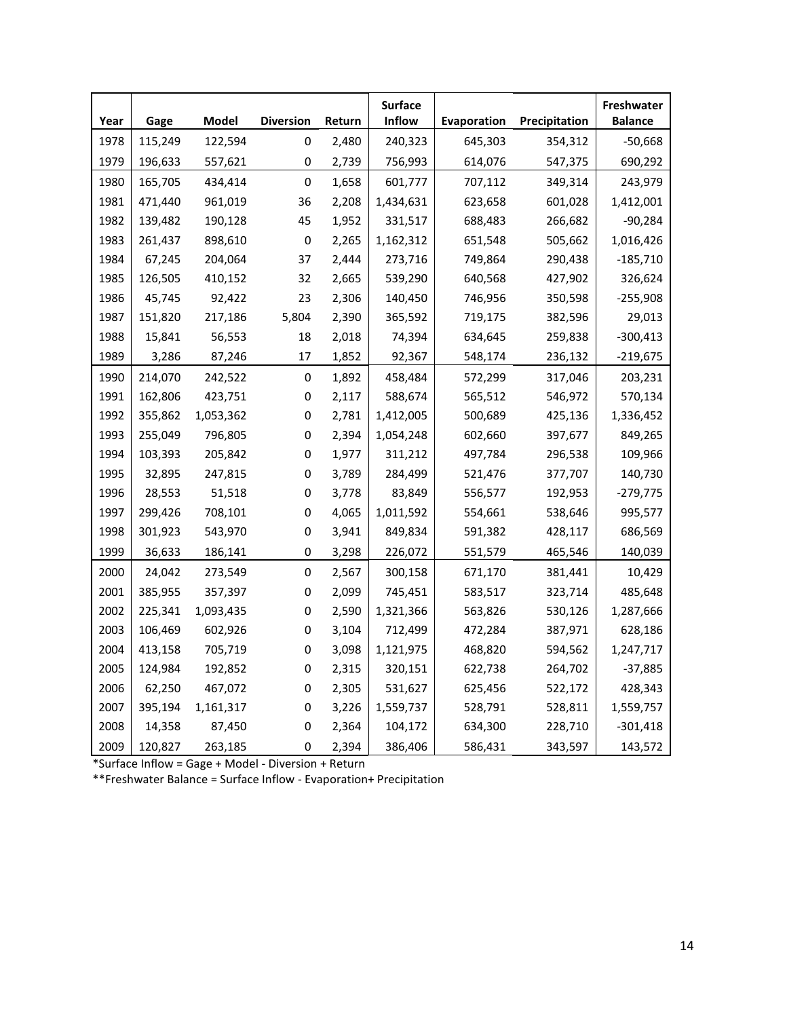| Year | Gage    | Model     | <b>Diversion</b> | Return | <b>Surface</b><br>Inflow | Evaporation | Precipitation | Freshwater<br><b>Balance</b> |
|------|---------|-----------|------------------|--------|--------------------------|-------------|---------------|------------------------------|
| 1978 | 115,249 | 122,594   | 0                | 2,480  | 240,323                  | 645,303     | 354,312       | $-50,668$                    |
| 1979 | 196,633 | 557,621   | 0                | 2,739  | 756,993                  | 614,076     | 547,375       | 690,292                      |
| 1980 | 165,705 | 434,414   | 0                | 1,658  | 601,777                  | 707,112     | 349,314       | 243,979                      |
| 1981 | 471,440 | 961,019   | 36               | 2,208  | 1,434,631                | 623,658     | 601,028       | 1,412,001                    |
| 1982 | 139,482 | 190,128   | 45               | 1,952  | 331,517                  | 688,483     | 266,682       | $-90,284$                    |
| 1983 | 261,437 | 898,610   | $\pmb{0}$        | 2,265  | 1,162,312                | 651,548     | 505,662       | 1,016,426                    |
| 1984 | 67,245  | 204,064   | 37               | 2,444  | 273,716                  | 749,864     | 290,438       | $-185,710$                   |
| 1985 | 126,505 | 410,152   | 32               | 2,665  | 539,290                  | 640,568     | 427,902       | 326,624                      |
| 1986 | 45,745  | 92,422    | 23               | 2,306  | 140,450                  | 746,956     | 350,598       | $-255,908$                   |
| 1987 | 151,820 | 217,186   | 5,804            | 2,390  | 365,592                  | 719,175     | 382,596       | 29,013                       |
| 1988 | 15,841  | 56,553    | 18               | 2,018  | 74,394                   | 634,645     | 259,838       | $-300,413$                   |
| 1989 | 3,286   | 87,246    | 17               | 1,852  | 92,367                   | 548,174     | 236,132       | $-219,675$                   |
| 1990 | 214,070 | 242,522   | 0                | 1,892  | 458,484                  | 572,299     | 317,046       | 203,231                      |
| 1991 | 162,806 | 423,751   | 0                | 2,117  | 588,674                  | 565,512     | 546,972       | 570,134                      |
| 1992 | 355,862 | 1,053,362 | 0                | 2,781  | 1,412,005                | 500,689     | 425,136       | 1,336,452                    |
| 1993 | 255,049 | 796,805   | 0                | 2,394  | 1,054,248                | 602,660     | 397,677       | 849,265                      |
| 1994 | 103,393 | 205,842   | 0                | 1,977  | 311,212                  | 497,784     | 296,538       | 109,966                      |
| 1995 | 32,895  | 247,815   | 0                | 3,789  | 284,499                  | 521,476     | 377,707       | 140,730                      |
| 1996 | 28,553  | 51,518    | 0                | 3,778  | 83,849                   | 556,577     | 192,953       | $-279,775$                   |
| 1997 | 299,426 | 708,101   | 0                | 4,065  | 1,011,592                | 554,661     | 538,646       | 995,577                      |
| 1998 | 301,923 | 543,970   | 0                | 3,941  | 849,834                  | 591,382     | 428,117       | 686,569                      |
| 1999 | 36,633  | 186,141   | 0                | 3,298  | 226,072                  | 551,579     | 465,546       | 140,039                      |
| 2000 | 24,042  | 273,549   | $\pmb{0}$        | 2,567  | 300,158                  | 671,170     | 381,441       | 10,429                       |
| 2001 | 385,955 | 357,397   | $\pmb{0}$        | 2,099  | 745,451                  | 583,517     | 323,714       | 485,648                      |
| 2002 | 225,341 | 1,093,435 | 0                | 2,590  | 1,321,366                | 563,826     | 530,126       | 1,287,666                    |
| 2003 | 106,469 | 602,926   | 0                | 3,104  | 712,499                  | 472,284     | 387,971       | 628,186                      |
| 2004 | 413,158 | 705,719   | 0                | 3,098  | 1,121,975                | 468,820     | 594,562       | 1,247,717                    |
| 2005 | 124,984 | 192,852   | 0                | 2,315  | 320,151                  | 622,738     | 264,702       | $-37,885$                    |
| 2006 | 62,250  | 467,072   | 0                | 2,305  | 531,627                  | 625,456     | 522,172       | 428,343                      |
| 2007 | 395,194 | 1,161,317 | 0                | 3,226  | 1,559,737                | 528,791     | 528,811       | 1,559,757                    |
| 2008 | 14,358  | 87,450    | 0                | 2,364  | 104,172                  | 634,300     | 228,710       | $-301,418$                   |
| 2009 | 120,827 | 263,185   | 0                | 2,394  | 386,406                  | 586,431     | 343,597       | 143,572                      |

\*Surface Inflow = Gage + Model - Diversion + Return

\*\*Freshwater Balance = Surface Inflow - Evaporation+ Precipitation